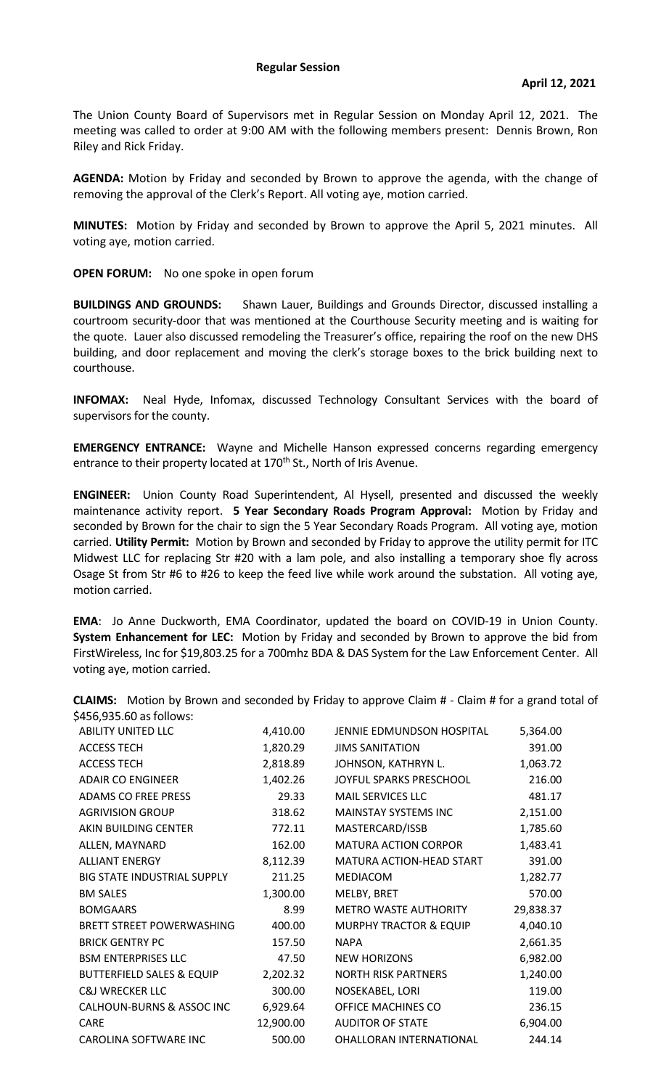## **Regular Session**

The Union County Board of Supervisors met in Regular Session on Monday April 12, 2021. The meeting was called to order at 9:00 AM with the following members present: Dennis Brown, Ron Riley and Rick Friday.

**AGENDA:** Motion by Friday and seconded by Brown to approve the agenda, with the change of removing the approval of the Clerk's Report. All voting aye, motion carried.

**MINUTES:** Motion by Friday and seconded by Brown to approve the April 5, 2021 minutes. All voting aye, motion carried.

**OPEN FORUM:** No one spoke in open forum

**BUILDINGS AND GROUNDS:** Shawn Lauer, Buildings and Grounds Director, discussed installing a courtroom security-door that was mentioned at the Courthouse Security meeting and is waiting for the quote. Lauer also discussed remodeling the Treasurer's office, repairing the roof on the new DHS building, and door replacement and moving the clerk's storage boxes to the brick building next to courthouse.

**INFOMAX:** Neal Hyde, Infomax, discussed Technology Consultant Services with the board of supervisors for the county.

**EMERGENCY ENTRANCE:** Wayne and Michelle Hanson expressed concerns regarding emergency entrance to their property located at 170<sup>th</sup> St., North of Iris Avenue.

**ENGINEER:** Union County Road Superintendent, Al Hysell, presented and discussed the weekly maintenance activity report. **5 Year Secondary Roads Program Approval:** Motion by Friday and seconded by Brown for the chair to sign the 5 Year Secondary Roads Program. All voting aye, motion carried. **Utility Permit:** Motion by Brown and seconded by Friday to approve the utility permit for ITC Midwest LLC for replacing Str #20 with a lam pole, and also installing a temporary shoe fly across Osage St from Str #6 to #26 to keep the feed live while work around the substation. All voting aye, motion carried.

**EMA**: Jo Anne Duckworth, EMA Coordinator, updated the board on COVID-19 in Union County. **System Enhancement for LEC:** Motion by Friday and seconded by Brown to approve the bid from FirstWireless, Inc for \$19,803.25 for a 700mhz BDA & DAS System for the Law Enforcement Center. All voting aye, motion carried.

| 2450,935.00 dSTOIIOWS.               |           |                                   |           |
|--------------------------------------|-----------|-----------------------------------|-----------|
| <b>ABILITY UNITED LLC</b>            | 4,410.00  | JENNIE EDMUNDSON HOSPITAL         | 5,364.00  |
| <b>ACCESS TECH</b>                   | 1,820.29  | <b>JIMS SANITATION</b>            | 391.00    |
| <b>ACCESS TECH</b>                   | 2,818.89  | JOHNSON, KATHRYN L.               | 1,063.72  |
| <b>ADAIR CO ENGINEER</b>             | 1,402.26  | JOYFUL SPARKS PRESCHOOL           | 216.00    |
| <b>ADAMS CO FREE PRESS</b>           | 29.33     | <b>MAIL SERVICES LLC</b>          | 481.17    |
| <b>AGRIVISION GROUP</b>              | 318.62    | <b>MAINSTAY SYSTEMS INC</b>       | 2,151.00  |
| AKIN BUILDING CENTER                 | 772.11    | MASTERCARD/ISSB                   | 1,785.60  |
| ALLEN, MAYNARD                       | 162.00    | <b>MATURA ACTION CORPOR</b>       | 1,483.41  |
| <b>ALLIANT ENERGY</b>                | 8,112.39  | MATURA ACTION-HEAD START          | 391.00    |
| <b>BIG STATE INDUSTRIAL SUPPLY</b>   | 211.25    | MEDIACOM                          | 1,282.77  |
| <b>BM SALES</b>                      | 1,300.00  | MELBY, BRET                       | 570.00    |
| <b>BOMGAARS</b>                      | 8.99      | <b>METRO WASTE AUTHORITY</b>      | 29,838.37 |
| <b>BRETT STREET POWERWASHING</b>     | 400.00    | <b>MURPHY TRACTOR &amp; EQUIP</b> | 4,040.10  |
| <b>BRICK GENTRY PC</b>               | 157.50    | <b>NAPA</b>                       | 2,661.35  |
| <b>BSM ENTERPRISES LLC</b>           | 47.50     | <b>NEW HORIZONS</b>               | 6,982.00  |
| <b>BUTTERFIELD SALES &amp; EQUIP</b> | 2,202.32  | <b>NORTH RISK PARTNERS</b>        | 1,240.00  |
| <b>C&amp;J WRECKER LLC</b>           | 300.00    | NOSEKABEL, LORI                   | 119.00    |
| CALHOUN-BURNS & ASSOC INC            | 6,929.64  | OFFICE MACHINES CO                | 236.15    |
| <b>CARE</b>                          | 12,900.00 | <b>AUDITOR OF STATE</b>           | 6,904.00  |
| CAROLINA SOFTWARE INC                | 500.00    | OHALLORAN INTERNATIONAL           | 244.14    |

**CLAIMS:** Motion by Brown and seconded by Friday to approve Claim # - Claim # for a grand total of  $6456,025.60$  as follows: